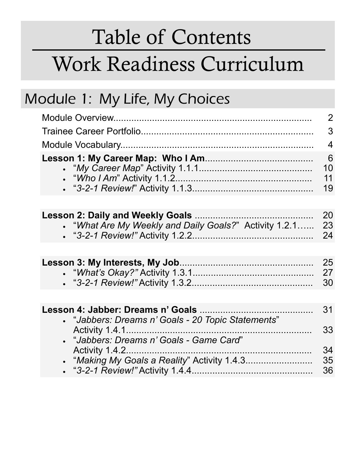# Table of Contents Work Readiness Curriculum

#### Module 1: My Life, My Choices

|                                                        | 2                   |
|--------------------------------------------------------|---------------------|
|                                                        | 3                   |
|                                                        | $\overline{4}$      |
|                                                        | 6<br>10<br>11<br>19 |
|                                                        |                     |
| • "What Are My Weekly and Daily Goals?" Activity 1.2.1 | 20<br>23<br>24      |
|                                                        |                     |
|                                                        | 25<br>27<br>30      |
|                                                        |                     |
| • "Jabbers: Dreams n' Goals - 20 Topic Statements"     | 31                  |
|                                                        | 33                  |
| • "Jabbers: Dreams n' Goals - Game Card"               | 34                  |
|                                                        | 35                  |
|                                                        | 36                  |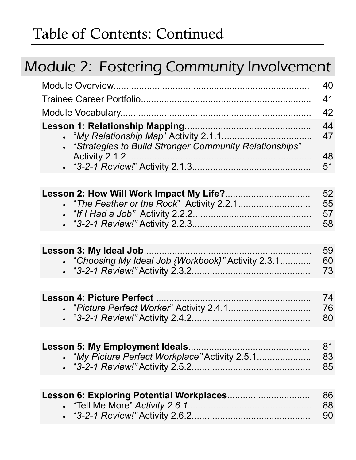#### Module 2: Fostering Community Involvement

|                                                                                           | 40<br>41             |
|-------------------------------------------------------------------------------------------|----------------------|
|                                                                                           | 42                   |
| <b>.</b> "Strategies to Build Stronger Community Relationships"<br>Activity 2.1.2.        | 44<br>47<br>48       |
|                                                                                           | 51                   |
|                                                                                           |                      |
|                                                                                           | 52<br>55<br>57<br>58 |
|                                                                                           |                      |
| • "Choosing My Ideal Job {Workbook}" Activity 2.3.1                                       | 59<br>60<br>73       |
|                                                                                           |                      |
| <b>Lesson 4: Picture Perfect</b>                                                          | 74<br>76<br>80       |
|                                                                                           |                      |
| <b>Lesson 5: My Employment Ideals.</b><br>• "My Picture Perfect Workplace" Activity 2.5.1 | 81<br>83<br>85       |
|                                                                                           |                      |
|                                                                                           | 86<br>88<br>90       |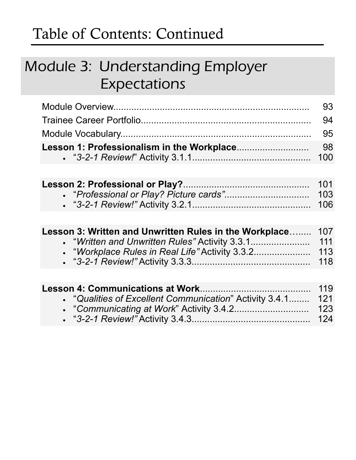#### Module 3: Understanding Employer Expectations

| - 93 |
|------|
|      |
|      |
|      |
|      |

| Lesson 3: Written and Unwritten Rules in the Workplace 107 |     |
|------------------------------------------------------------|-----|
|                                                            |     |
|                                                            |     |
|                                                            | 118 |

| • "Qualities of Excellent Communication" Activity 3.4.1 121 |  |
|-------------------------------------------------------------|--|
|                                                             |  |
|                                                             |  |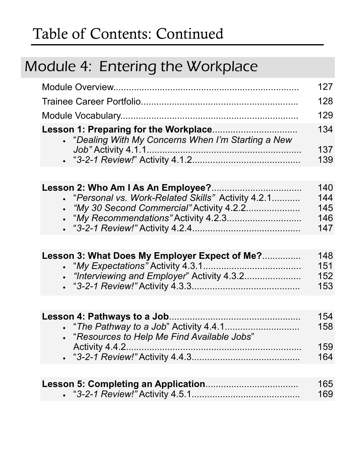# Module 4: Entering the Workplace

|                                                     | 127 |
|-----------------------------------------------------|-----|
|                                                     | 128 |
|                                                     | 129 |
| • "Dealing With My Concerns When I'm Starting a New | 134 |
|                                                     | 137 |
|                                                     | 139 |
|                                                     |     |
|                                                     | 140 |
| • "Personal vs. Work-Related Skills" Activity 4.2.1 | 144 |
| • "My 30 Second Commercial" Activity 4.2.2          | 145 |
|                                                     | 146 |
|                                                     | 147 |
|                                                     |     |

| Lesson 3: What Does My Employer Expect of Me? | 148 |
|-----------------------------------------------|-----|
|                                               | 151 |
|                                               | 152 |
|                                               | 153 |

|                                              | 154 |
|----------------------------------------------|-----|
|                                              | 158 |
| . "Resources to Help Me Find Available Jobs" |     |
|                                              | 159 |
|                                              | 164 |

| 165 |
|-----|
| 169 |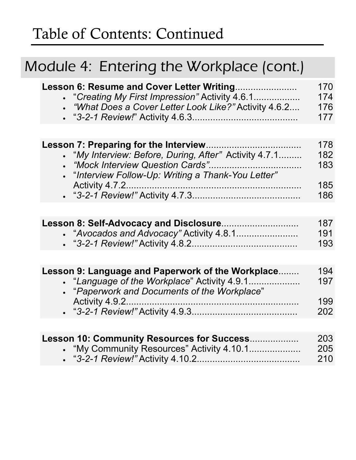#### Module 4: Entering the Workplace (cont.)

| Lesson 6: Resume and Cover Letter Writing              | 170 |
|--------------------------------------------------------|-----|
| • "Creating My First Impression" Activity 4.6.1        | 174 |
| • "What Does a Cover Letter Look Like?" Activity 4.6.2 | 176 |
|                                                        | 177 |
|                                                        |     |

|                                                        | 178 |
|--------------------------------------------------------|-----|
| • "My Interview: Before, During, After" Activity 4.7.1 | 182 |
|                                                        | 183 |
| • "Interview Follow-Up: Writing a Thank-You Letter"    |     |
|                                                        | 185 |
|                                                        | 186 |

| 187 |
|-----|
| 191 |
| 193 |

| Lesson 9: Language and Paperwork of the Workplace | 194 |
|---------------------------------------------------|-----|
| • "Language of the Workplace" Activity 4.9.1      | 197 |
| • "Paperwork and Documents of the Workplace"      |     |
|                                                   | 199 |
|                                                   | 202 |

| Lesson 10: Community Resources for Success | 203  |
|--------------------------------------------|------|
|                                            | -205 |
|                                            | 210  |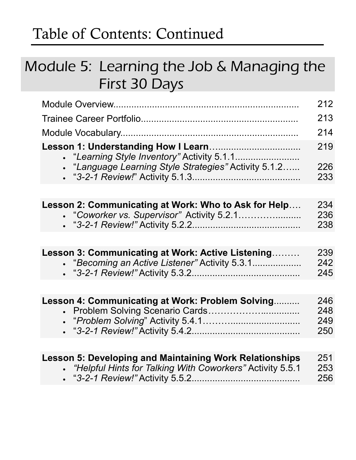#### Module 5: Learning the Job & Managing the First 30 Days

|                                                                                                                               | 212                      |
|-------------------------------------------------------------------------------------------------------------------------------|--------------------------|
|                                                                                                                               | 213                      |
|                                                                                                                               | 214                      |
|                                                                                                                               | 219                      |
| "Language Learning Style Strategies" Activity 5.1.2                                                                           | 226<br>233               |
|                                                                                                                               |                          |
| Lesson 2: Communicating at Work: Who to Ask for Help<br>• "Coworker vs. Supervisor" Activity 5.2.1                            | 234<br>236<br>238        |
|                                                                                                                               |                          |
| Lesson 3: Communicating at Work: Active Listening<br>"Becoming an Active Listener" Activity 5.3.1                             | 239<br>242<br>245        |
|                                                                                                                               |                          |
| Lesson 4: Communicating at Work: Problem Solving                                                                              | 246<br>248<br>249<br>250 |
| <b>Lesson 5: Developing and Maintaining Work Relationships</b><br>• "Helpful Hints for Talking With Coworkers" Activity 5.5.1 | 251<br>253<br>256        |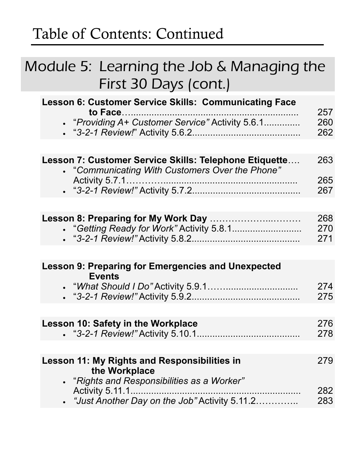#### Module 5: Learning the Job & Managing the First 30 Days (cont.)

| Lesson 6: Customer Service Skills: Communicating Face<br>to Face.<br>• "Providing A+ Customer Service" Activity 5.6.1              | 257<br>260<br>262 |
|------------------------------------------------------------------------------------------------------------------------------------|-------------------|
|                                                                                                                                    |                   |
| Lesson 7: Customer Service Skills: Telephone Etiquette<br>• "Communicating With Customers Over the Phone"                          | 263               |
|                                                                                                                                    | 265<br>267        |
|                                                                                                                                    |                   |
|                                                                                                                                    | 268<br>270<br>271 |
|                                                                                                                                    |                   |
| <b>Lesson 9: Preparing for Emergencies and Unexpected</b><br><b>Events</b>                                                         |                   |
|                                                                                                                                    | 274<br>275        |
|                                                                                                                                    |                   |
| <b>Lesson 10: Safety in the Workplace</b>                                                                                          | 276<br>278        |
|                                                                                                                                    |                   |
| <b>Lesson 11: My Rights and Responsibilities in</b><br>the Workplace                                                               | 279               |
| "Rights and Responsibilities as a Worker"<br><b>Activity 5.11.1.</b><br>"Just Another Day on the Job" Activity 5.11.2<br>$\bullet$ | 282<br>283        |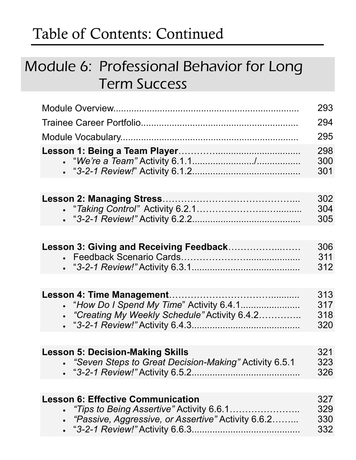#### Module 6: Professional Behavior for Long Term Success

|                                                                                                                                                        | 293                      |
|--------------------------------------------------------------------------------------------------------------------------------------------------------|--------------------------|
|                                                                                                                                                        | 294                      |
|                                                                                                                                                        | 295                      |
|                                                                                                                                                        | 298<br>300<br>301        |
|                                                                                                                                                        |                          |
|                                                                                                                                                        | 302<br>304<br>305        |
|                                                                                                                                                        |                          |
| Lesson 3: Giving and Receiving Feedback                                                                                                                | 306<br>311<br>312        |
|                                                                                                                                                        |                          |
| Lesson 4: Time Management<br>• "How Do I Spend My Time" Activity 6.4.1<br>"Creating My Weekly Schedule" Activity 6.4.2                                 | 313<br>317<br>318<br>320 |
|                                                                                                                                                        |                          |
| <b>Lesson 5: Decision-Making Skills</b><br>• "Seven Steps to Great Decision-Making" Activity 6.5.1                                                     | 321<br>323<br>326        |
| <b>Lesson 6: Effective Communication</b><br><i>"Tips to Being Assertive"</i> Activity 6.6.1<br>.<br>"Passive, Aggressive, or Assertive" Activity 6.6.2 | 327<br>329<br>330<br>332 |